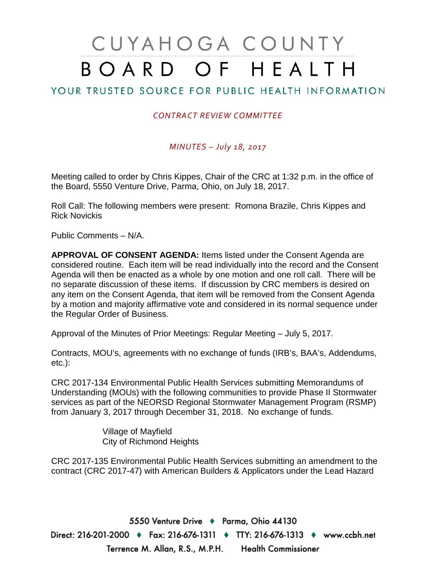# CUYAHOGA COUNTY BOARD OF HEALTH

### YOUR TRUSTED SOURCE FOR PUBLIC HEALTH INFORMATION

#### *CONTRACT REVIEW COMMITTEE*

*MINUTES – July 18, 2017*

Meeting called to order by Chris Kippes, Chair of the CRC at 1:32 p.m. in the office of the Board, 5550 Venture Drive, Parma, Ohio, on July 18, 2017.

Roll Call: The following members were present: Romona Brazile, Chris Kippes and Rick Novickis

Public Comments – N/A.

**APPROVAL OF CONSENT AGENDA:** Items listed under the Consent Agenda are considered routine. Each item will be read individually into the record and the Consent Agenda will then be enacted as a whole by one motion and one roll call. There will be no separate discussion of these items. If discussion by CRC members is desired on any item on the Consent Agenda, that item will be removed from the Consent Agenda by a motion and majority affirmative vote and considered in its normal sequence under the Regular Order of Business.

Approval of the Minutes of Prior Meetings: Regular Meeting – July 5, 2017.

Contracts, MOU's, agreements with no exchange of funds (IRB's, BAA's, Addendums, etc.):

CRC 2017-134 Environmental Public Health Services submitting Memorandums of Understanding (MOUs) with the following communities to provide Phase II Stormwater services as part of the NEORSD Regional Stormwater Management Program (RSMP) from January 3, 2017 through December 31, 2018. No exchange of funds.

> Village of Mayfield City of Richmond Heights

CRC 2017-135 Environmental Public Health Services submitting an amendment to the contract (CRC 2017-47) with American Builders & Applicators under the Lead Hazard

5550 Venture Drive + Parma, Ohio 44130 Direct: 216-201-2000 ♦ Fax: 216-676-1311 ♦ TTY: 216-676-1313 ♦ www.ccbh.net Terrence M. Allan, R.S., M.P.H. Health Commissioner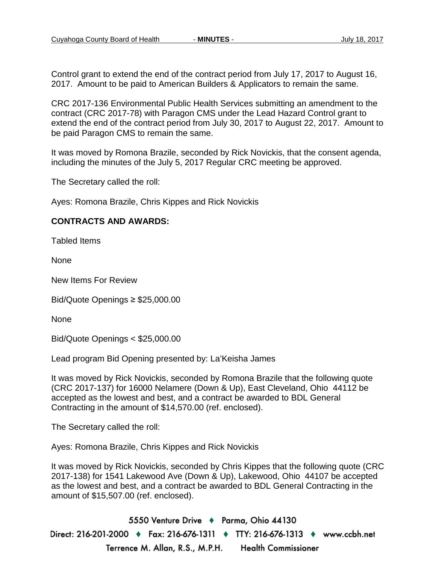Control grant to extend the end of the contract period from July 17, 2017 to August 16, 2017. Amount to be paid to American Builders & Applicators to remain the same.

CRC 2017-136 Environmental Public Health Services submitting an amendment to the contract (CRC 2017-78) with Paragon CMS under the Lead Hazard Control grant to extend the end of the contract period from July 30, 2017 to August 22, 2017. Amount to be paid Paragon CMS to remain the same.

It was moved by Romona Brazile, seconded by Rick Novickis, that the consent agenda, including the minutes of the July 5, 2017 Regular CRC meeting be approved.

The Secretary called the roll:

Ayes: Romona Brazile, Chris Kippes and Rick Novickis

#### **CONTRACTS AND AWARDS:**

Tabled Items

None

New Items For Review

Bid/Quote Openings ≥ \$25,000.00

**None** 

Bid/Quote Openings < \$25,000.00

Lead program Bid Opening presented by: La'Keisha James

It was moved by Rick Novickis, seconded by Romona Brazile that the following quote (CRC 2017-137) for 16000 Nelamere (Down & Up), East Cleveland, Ohio 44112 be accepted as the lowest and best, and a contract be awarded to BDL General Contracting in the amount of \$14,570.00 (ref. enclosed).

The Secretary called the roll:

Ayes: Romona Brazile, Chris Kippes and Rick Novickis

It was moved by Rick Novickis, seconded by Chris Kippes that the following quote (CRC 2017-138) for 1541 Lakewood Ave (Down & Up), Lakewood, Ohio 44107 be accepted as the lowest and best, and a contract be awarded to BDL General Contracting in the amount of \$15,507.00 (ref. enclosed).

5550 Venture Drive + Parma, Ohio 44130 Direct: 216-201-2000 ♦ Fax: 216-676-1311 ♦ TTY: 216-676-1313 ♦ www.ccbh.net Terrence M. Allan, R.S., M.P.H. **Health Commissioner**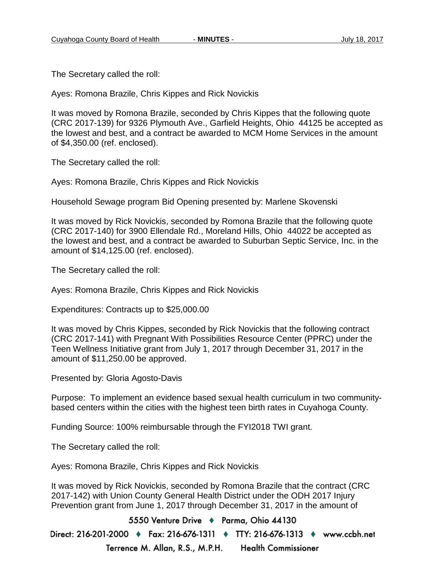The Secretary called the roll:

Ayes: Romona Brazile, Chris Kippes and Rick Novickis

It was moved by Romona Brazile, seconded by Chris Kippes that the following quote (CRC 2017-139) for 9326 Plymouth Ave., Garfield Heights, Ohio 44125 be accepted as the lowest and best, and a contract be awarded to MCM Home Services in the amount of \$4,350.00 (ref. enclosed).

The Secretary called the roll:

Ayes: Romona Brazile, Chris Kippes and Rick Novickis

Household Sewage program Bid Opening presented by: Marlene Skovenski

It was moved by Rick Novickis, seconded by Romona Brazile that the following quote (CRC 2017-140) for 3900 Ellendale Rd., Moreland Hills, Ohio 44022 be accepted as the lowest and best, and a contract be awarded to Suburban Septic Service, Inc. in the amount of \$14,125.00 (ref. enclosed).

The Secretary called the roll:

Ayes: Romona Brazile, Chris Kippes and Rick Novickis

Expenditures: Contracts up to \$25,000.00

It was moved by Chris Kippes, seconded by Rick Novickis that the following contract (CRC 2017-141) with Pregnant With Possibilities Resource Center (PPRC) under the Teen Wellness Initiative grant from July 1, 2017 through December 31, 2017 in the amount of \$11,250.00 be approved.

Presented by: Gloria Agosto-Davis

Purpose: To implement an evidence based sexual health curriculum in two communitybased centers within the cities with the highest teen birth rates in Cuyahoga County.

Funding Source: 100% reimbursable through the FYI2018 TWI grant.

The Secretary called the roll:

Ayes: Romona Brazile, Chris Kippes and Rick Novickis

It was moved by Rick Novickis, seconded by Romona Brazile that the contract (CRC 2017-142) with Union County General Health District under the ODH 2017 Injury Prevention grant from June 1, 2017 through December 31, 2017 in the amount of

5550 Venture Drive + Parma, Ohio 44130 Direct: 216-201-2000 ♦ Fax: 216-676-1311 ♦ TTY: 216-676-1313 ♦ www.ccbh.net Terrence M. Allan, R.S., M.P.H. **Health Commissioner**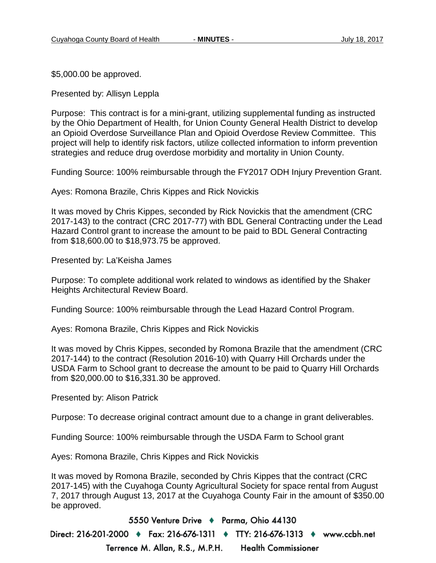\$5,000.00 be approved.

Presented by: Allisyn Leppla

Purpose: This contract is for a mini-grant, utilizing supplemental funding as instructed by the Ohio Department of Health, for Union County General Health District to develop an Opioid Overdose Surveillance Plan and Opioid Overdose Review Committee. This project will help to identify risk factors, utilize collected information to inform prevention strategies and reduce drug overdose morbidity and mortality in Union County.

Funding Source: 100% reimbursable through the FY2017 ODH Injury Prevention Grant.

Ayes: Romona Brazile, Chris Kippes and Rick Novickis

It was moved by Chris Kippes, seconded by Rick Novickis that the amendment (CRC 2017-143) to the contract (CRC 2017-77) with BDL General Contracting under the Lead Hazard Control grant to increase the amount to be paid to BDL General Contracting from \$18,600.00 to \$18,973.75 be approved.

Presented by: La'Keisha James

Purpose: To complete additional work related to windows as identified by the Shaker Heights Architectural Review Board.

Funding Source: 100% reimbursable through the Lead Hazard Control Program.

Ayes: Romona Brazile, Chris Kippes and Rick Novickis

It was moved by Chris Kippes, seconded by Romona Brazile that the amendment (CRC 2017-144) to the contract (Resolution 2016-10) with Quarry Hill Orchards under the USDA Farm to School grant to decrease the amount to be paid to Quarry Hill Orchards from \$20,000.00 to \$16,331.30 be approved.

Presented by: Alison Patrick

Purpose: To decrease original contract amount due to a change in grant deliverables.

Funding Source: 100% reimbursable through the USDA Farm to School grant

Ayes: Romona Brazile, Chris Kippes and Rick Novickis

It was moved by Romona Brazile, seconded by Chris Kippes that the contract (CRC 2017-145) with the Cuyahoga County Agricultural Society for space rental from August 7, 2017 through August 13, 2017 at the Cuyahoga County Fair in the amount of \$350.00 be approved.

5550 Venture Drive + Parma, Ohio 44130

Direct: 216-201-2000 ♦ Fax: 216-676-1311 ♦ TTY: 216-676-1313 ♦ www.ccbh.net Terrence M. Allan, R.S., M.P.H. **Health Commissioner**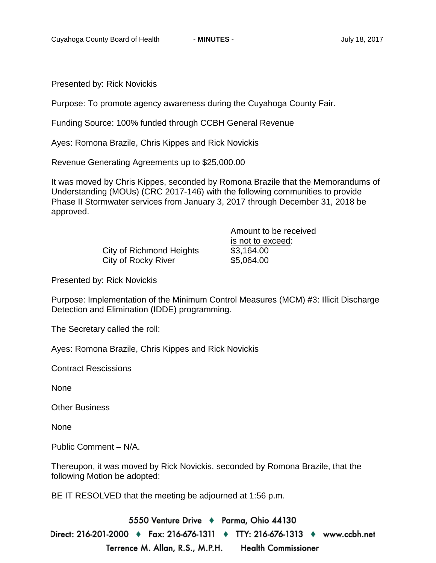Presented by: Rick Novickis

Purpose: To promote agency awareness during the Cuyahoga County Fair.

Funding Source: 100% funded through CCBH General Revenue

Ayes: Romona Brazile, Chris Kippes and Rick Novickis

Revenue Generating Agreements up to \$25,000.00

It was moved by Chris Kippes, seconded by Romona Brazile that the Memorandums of Understanding (MOUs) (CRC 2017-146) with the following communities to provide Phase II Stormwater services from January 3, 2017 through December 31, 2018 be approved.

> City of Richmond Heights \$3,164.00 City of Rocky River \$5,064.00

Amount to be received is not to exceed:

Presented by: Rick Novickis

Purpose: Implementation of the Minimum Control Measures (MCM) #3: Illicit Discharge Detection and Elimination (IDDE) programming.

The Secretary called the roll:

Ayes: Romona Brazile, Chris Kippes and Rick Novickis

Contract Rescissions

None

Other Business

None

Public Comment – N/A.

Thereupon, it was moved by Rick Novickis, seconded by Romona Brazile, that the following Motion be adopted:

BE IT RESOLVED that the meeting be adjourned at 1:56 p.m.

5550 Venture Drive + Parma, Ohio 44130 Direct: 216-201-2000 ♦ Fax: 216-676-1311 ♦ TTY: 216-676-1313 ♦ www.ccbh.net Terrence M. Allan, R.S., M.P.H. **Health Commissioner**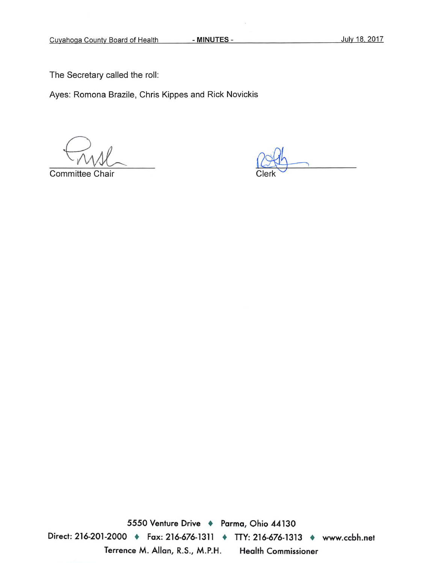- MINUTES -

The Secretary called the roll:

Ayes: Romona Brazile, Chris Kippes and Rick Novickis

Committee Chair

5550 Venture Drive + Parma, Ohio 44130 Direct: 216-201-2000 • Fax: 216-676-1311 • TTY: 216-676-1313 • www.ccbh.net Terrence M. Allan, R.S., M.P.H. **Health Commissioner**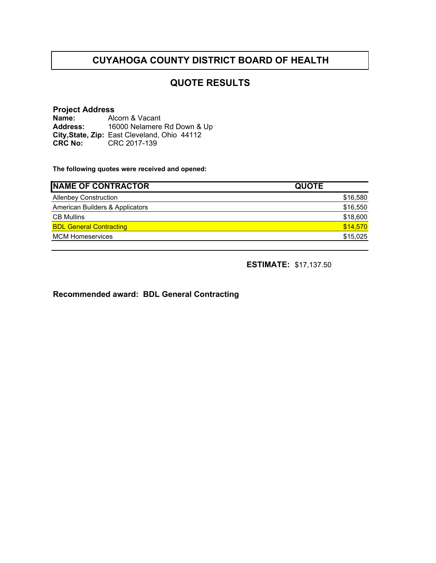#### **QUOTE RESULTS**

#### **Project Address Name:** Alcorn & Vacant

**Address: City,State, Zip:** East Cleveland, Ohio 44112**CRC No:** CRC 2017-139 16000 Nelamere Rd Down & Up

**The following quotes were received and opened:**

| <b>INAME OF CONTRACTOR</b>      | <b>QUOTE</b> |
|---------------------------------|--------------|
| <b>Allenbey Construction</b>    | \$16,580     |
| American Builders & Applicators | \$16,550     |
| <b>CB Mullins</b>               | \$18,600     |
| <b>BDL General Contracting</b>  | \$14,570     |
| <b>MCM Homeservices</b>         | \$15,025     |

**ESTIMATE:** \$17,137.50

**Recommended award: BDL General Contracting**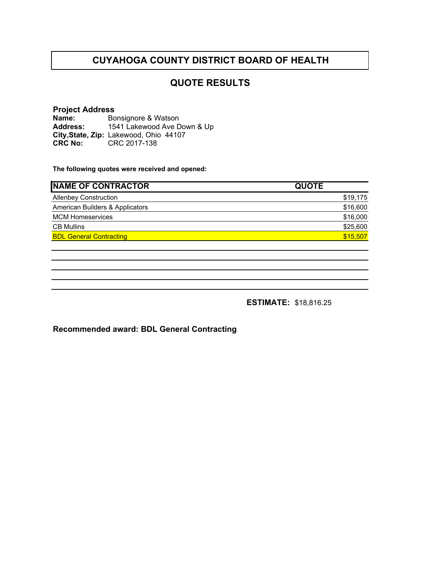#### **QUOTE RESULTS**

#### **Project Address Name: Address: City,State, Zip:** Lakewood, Ohio 44107**CRC No:** CRC 2017-138 Bonsignore & Watson 1541 Lakewood Ave Down & Up

**The following quotes were received and opened:**

| <b>INAME OF CONTRACTOR</b>      | <b>QUOTE</b> |
|---------------------------------|--------------|
| <b>Allenbey Construction</b>    | \$19,175     |
| American Builders & Applicators | \$16,600     |
| <b>MCM Homeservices</b>         | \$16,000     |
| <b>CB Mullins</b>               | \$25,600     |
| <b>BDL General Contracting</b>  | \$15,507     |
|                                 |              |

**ESTIMATE:** \$18,816.25

**Recommended award: BDL General Contracting**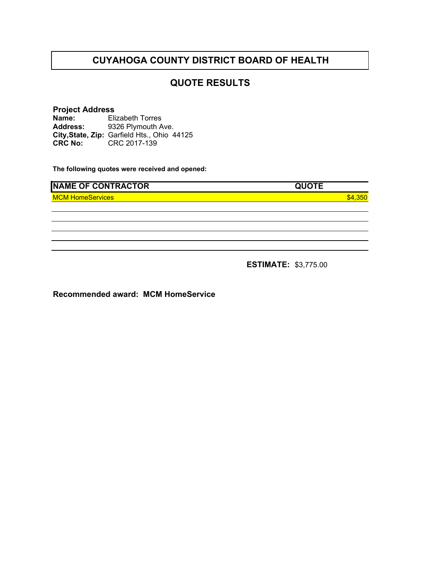#### **QUOTE RESULTS**

#### **Project Address Name: Address: City,State, Zip:** Garfield Hts., Ohio 44125**CRC No:** CRC 2017-139 Elizabeth Torres 9326 Plymouth Ave.

**The following quotes were received and opened:**

| <b>NAME OF CONTRACTOR</b> | <b>QUOTE</b> |
|---------------------------|--------------|
| <b>MCM HomeServices</b>   | $-350$       |
|                           |              |
|                           |              |
|                           |              |
|                           |              |
|                           |              |

**ESTIMATE:** \$3,775.00

**Recommended award: MCM HomeService**